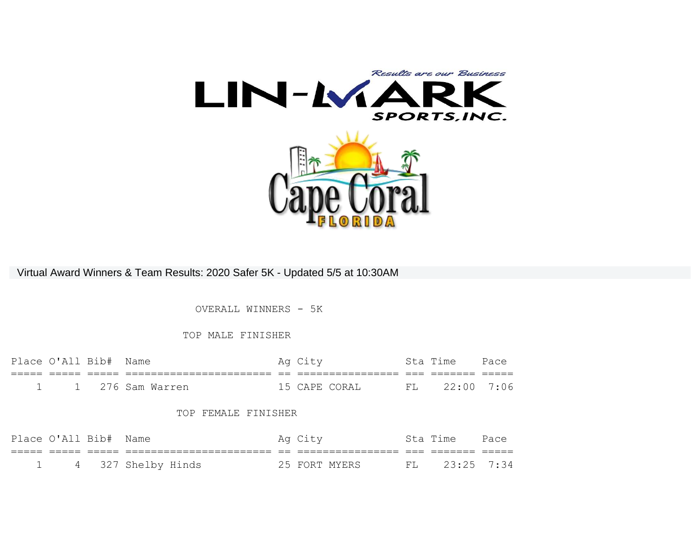

Virtual Award Winners & Team Results: 2020 Safer 5K - Updated 5/5 at 10:30AM

OVERALL WINNERS - 5K

### TOP MALE FINISHER

|  | Place O'All Bib# Name |                    | Ag City |                | Sta Time      | Pace |
|--|-----------------------|--------------------|---------|----------------|---------------|------|
|  |                       |                    |         |                |               |      |
|  |                       | 1 1 276 Sam Warren |         | 15 CAPE CORAI, | FL 22:00 7:06 |      |

#### TOP FEMALE FINISHER

| Place O'All Bib# Name |                      | Ag City       | Sta Time      | Pace |
|-----------------------|----------------------|---------------|---------------|------|
|                       |                      |               |               |      |
|                       | 1 4 327 Shelby Hinds | 25 FORT MYERS | FL 23:25 7:34 |      |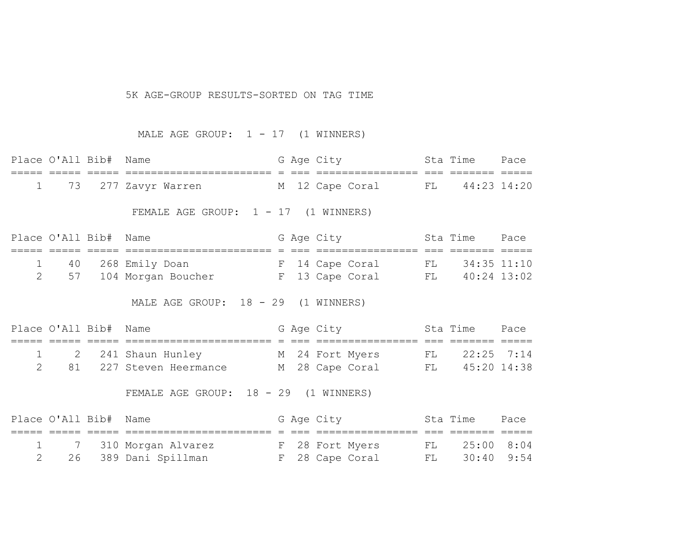#### 5K AGE-GROUP RESULTS-SORTED ON TAG TIME

MALE AGE GROUP:  $1 - 17$  (1 WINNERS)

| Place O'All Bib# Name |                                        |  | G Age City      |  | Sta Time       | Pace |
|-----------------------|----------------------------------------|--|-----------------|--|----------------|------|
|                       |                                        |  |                 |  |                |      |
|                       | 1 73 277 Zavyr Warren                  |  | M 12 Cape Coral |  | FL 44:23 14:20 |      |
|                       | FEMALE AGE GROUP: $1 - 17$ (1 WINNERS) |  |                 |  |                |      |

| Place O'All Bib# Name |                       |  | G Age City      |    | Sta Time       | Pace |
|-----------------------|-----------------------|--|-----------------|----|----------------|------|
|                       |                       |  |                 |    |                |      |
|                       | 40 268 Emily Doan     |  | F 14 Cape Coral |    | FL 34:35 11:10 |      |
|                       | 57 104 Morgan Boucher |  | F 13 Cape Coral | FL | 40:24 13:02    |      |

MALE AGE GROUP: 18 - 29 (1 WINNERS)

| Place O'All Bib# Name |                         |  | G Age City      | Sta Time          | Pace |
|-----------------------|-------------------------|--|-----------------|-------------------|------|
|                       |                         |  |                 |                   |      |
|                       | 1 2 241 Shaun Hunley    |  | M 24 Fort Myers | $FL = 22:25 7:14$ |      |
|                       | 81 227 Steven Heermance |  | M 28 Cape Coral | FL 45:20 14:38    |      |

FEMALE AGE GROUP: 18 - 29 (1 WINNERS)

| Place O'All Bib# Name |                        |  | G Age City      |    | Sta Time      | Pace |
|-----------------------|------------------------|--|-----------------|----|---------------|------|
|                       |                        |  |                 |    |               |      |
|                       | 1 7 310 Morgan Alvarez |  | F 28 Fort Myers | FL | 25:00 8:04    |      |
|                       | 26 389 Dani Spillman   |  | F 28 Cape Coral |    | FL 30:40 9:54 |      |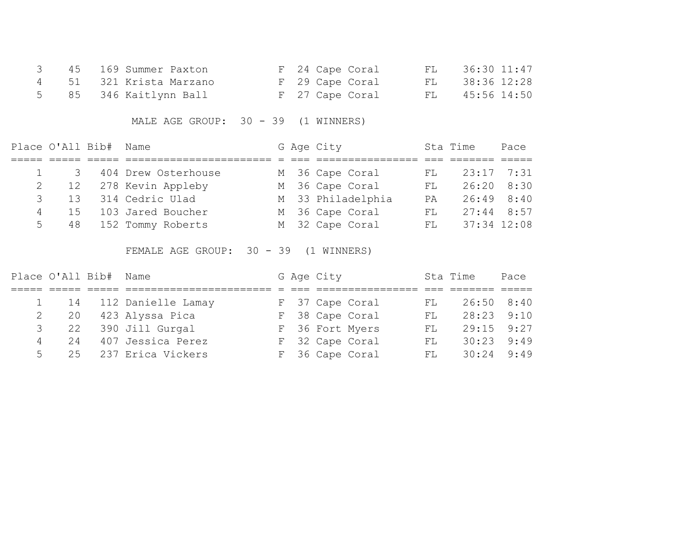|  | 3 45 169 Summer Paxton  | F 24 Cape Coral | FL 36:30 11:47 |
|--|-------------------------|-----------------|----------------|
|  | 4 51 321 Krista Marzano | F 29 Cape Coral | FL 38:36 12:28 |
|  | 5 85 346 Kaitlynn Ball  | F 27 Cape Coral | FL 45:56 14:50 |

MALE AGE GROUP: 30 - 39 (1 WINNERS)

| Place O'All Bib# Name |                         |  | G Age City        |     | Sta Time       | Pace |
|-----------------------|-------------------------|--|-------------------|-----|----------------|------|
|                       |                         |  |                   |     |                |      |
|                       | 1 3 404 Drew Osterhouse |  | M 36 Cape Coral   | FL. | 23:17 7:31     |      |
|                       | 2 12 278 Kevin Appleby  |  | M 36 Cape Coral   | FL  | 26:20 8:30     |      |
| $3 \t 13$             | 314 Cedric Ulad         |  | M 33 Philadelphia | PA  | $26:49$ $8:40$ |      |
| 15<br>$4 \quad$       | 103 Jared Boucher       |  | M 36 Cape Coral   | FL. | $27:44$ 8:57   |      |
| $5^{\circ}$           | 48 152 Tommy Roberts    |  | M 32 Cape Coral   |     | FL 37:34 12:08 |      |

FEMALE AGE GROUP: 30 - 39 (1 WINNERS)

| Place O'All Bib# Name |                         |  | G Age City |                 |     | Sta Time       | Pace |
|-----------------------|-------------------------|--|------------|-----------------|-----|----------------|------|
|                       |                         |  |            |                 |     |                |      |
|                       | 1 14 112 Danielle Lamay |  |            | F 37 Cape Coral | FL  | 26:50 8:40     |      |
| 2 20                  | 423 Alyssa Pica         |  |            | F 38 Cape Coral | FL. | 28:23 9:10     |      |
|                       | 3 22 390 Jill Gurgal    |  |            | F 36 Fort Myers | FL. | $29:15$ $9:27$ |      |
| $\overline{4}$        | 24 407 Jessica Perez    |  |            | F 32 Cape Coral | FL. | 30:23          | 9:49 |
|                       | 5 25 237 Erica Vickers  |  |            | F 36 Cape Coral | FL  | $30:24$ 9:49   |      |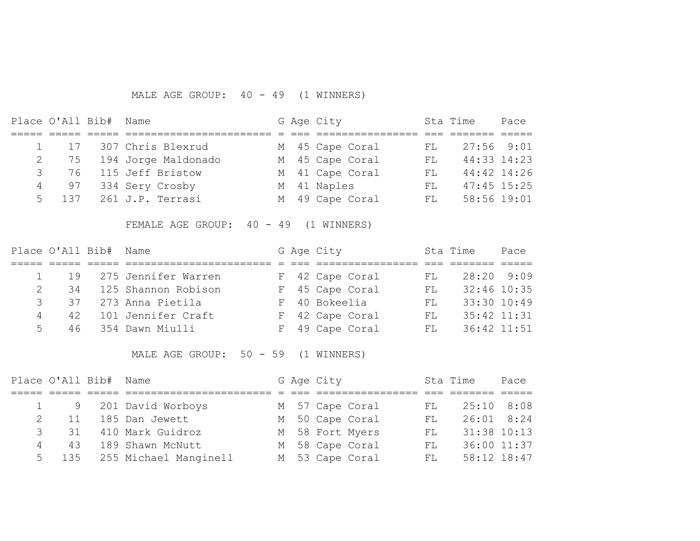### MALE AGE GROUP: 40 - 49 (1 WINNERS)

| Place O'All Bib# Name |    |                          |  | G Age City      |     | Sta Time      | Pace            |
|-----------------------|----|--------------------------|--|-----------------|-----|---------------|-----------------|
|                       |    |                          |  |                 |     |               |                 |
|                       |    | 1 17 307 Chris Blexrud   |  | M 45 Cape Coral | FL  | 27:56 9:01    |                 |
|                       |    | 2 75 194 Jorge Maldonado |  | M 45 Cape Coral | FL  |               | $44:33$ $14:23$ |
|                       |    | 3 76 115 Jeff Bristow    |  | M 41 Cape Coral | FL. |               | $44:42$ $14:26$ |
| 4                     | 97 | 334 Sery Crosby          |  | M 41 Naples     | FL. | $47:45$ 15:25 |                 |
|                       |    | 5 137 261 J.P. Terrasi   |  | M 49 Cape Coral | FL  | 58:56 19:01   |                 |

FEMALE AGE GROUP: 40 - 49 (1 WINNERS)

| Place O'All Bib# Name |                                 |                          |  | G Age City      |     | Sta Time        | Pace |
|-----------------------|---------------------------------|--------------------------|--|-----------------|-----|-----------------|------|
|                       |                                 |                          |  |                 |     |                 |      |
|                       |                                 | 1 19 275 Jennifer Warren |  | F 42 Cape Coral | FL  | $28:20$ 9:09    |      |
| 2                     | 34                              | 125 Shannon Robison      |  | F 45 Cape Coral | FL  | $32:46$ 10:35   |      |
|                       | $\mathcal{S}$ and $\mathcal{S}$ | 37 273 Anna Pietila      |  | F 40 Bokeelia   | FL. | 33:30 10:49     |      |
| $\overline{4}$        |                                 | 42 101 Jennifer Craft    |  | F 42 Cape Coral | FL. | $35:42$ $11:31$ |      |
|                       | $5 -$                           | 46 354 Dawn Miulli       |  | F 49 Cape Coral | FL. | $36:42$ $11:51$ |      |

MALE AGE GROUP: 50 - 59 (1 WINNERS)

| Place O'All Bib# Name |    |                             |  | G Age City |                 |    | Sta Time        | Pace        |
|-----------------------|----|-----------------------------|--|------------|-----------------|----|-----------------|-------------|
|                       |    |                             |  |            |                 |    |                 |             |
|                       |    | 1 9 201 David Worboys       |  |            | M 57 Cape Coral | FL | $25:10$ 8:08    |             |
|                       | 11 | 185 Dan Jewett              |  |            | M 50 Cape Coral | FL | 26:01 8:24      |             |
| $\mathcal{B}$         |    | 31 410 Mark Guidroz         |  |            | M 58 Fort Myers | FL | $31:38$ $10:13$ |             |
| 4                     |    | 43 189 Shawn McNutt         |  |            | M 58 Cape Coral | FL |                 | 36:00 11:37 |
|                       |    | 5 135 255 Michael Manginell |  |            | M 53 Cape Coral | FL |                 | 58:12 18:47 |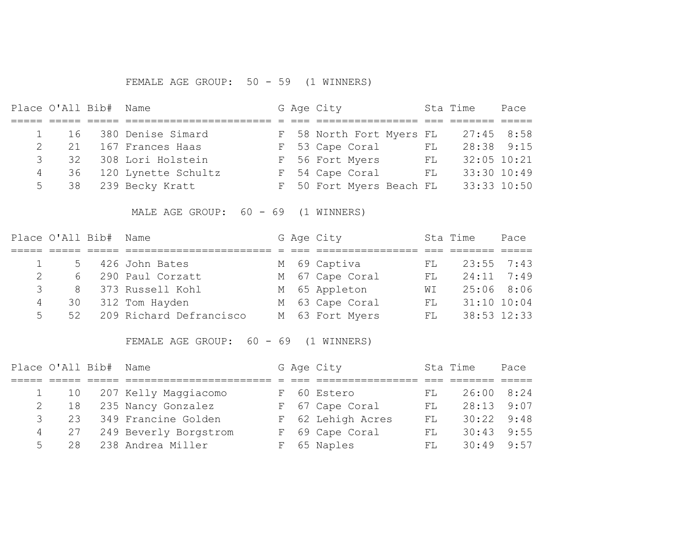# FEMALE AGE GROUP: 50 - 59 (1 WINNERS)

| Place O'All Bib# Name |                      |  | G Age City               |                            | Sta Time        | Pace |
|-----------------------|----------------------|--|--------------------------|----------------------------|-----------------|------|
|                       |                      |  |                          |                            |                 |      |
|                       | 16 380 Denise Simard |  | F 58 North Fort Myers FL |                            | $27:45$ 8:58    |      |
| 21                    | 167 Frances Haas     |  | F 53 Cape Coral          | $\mathop{\rm FL}\nolimits$ | $28:38$ $9:15$  |      |
| 32<br>3               | 308 Lori Holstein    |  | F 56 Fort Myers          | FL                         | $32:05$ $10:21$ |      |
| 4 36                  | 120 Lynette Schultz  |  | F 54 Cape Coral          | FL                         | 33:30 10:49     |      |
|                       | 5 38 239 Becky Kratt |  | F 50 Fort Myers Beach FL |                            | 33:33 10:50     |      |

MALE AGE GROUP: 60 - 69 (1 WINNERS)

|               | Place O'All Bib# Name |                         |  | G Age City      |     | Sta Time        | Pace |
|---------------|-----------------------|-------------------------|--|-----------------|-----|-----------------|------|
|               |                       |                         |  |                 |     |                 |      |
|               |                       | 5 426 John Bates        |  | M 69 Captiva    | FL  | $23:55$ 7:43    |      |
|               |                       | 6 290 Paul Corzatt      |  | M 67 Cape Coral | FL. | $24:11$ 7:49    |      |
| $\mathcal{S}$ |                       | 8 373 Russell Kohl      |  | M 65 Appleton   | WI  | 25:06 8:06      |      |
| 4             | 30                    | 312 Tom Hayden          |  | M 63 Cape Coral | FL. | $31:10$ $10:04$ |      |
| 5             | 52                    | 209 Richard Defrancisco |  | M 63 Fort Myers | FL  | 38:53 12:33     |      |

FEMALE AGE GROUP: 60 - 69 (1 WINNERS)

|   | Place O'All Bib# Name                |                       |  | G Age City        |     | Sta Time   | Pace |
|---|--------------------------------------|-----------------------|--|-------------------|-----|------------|------|
|   |                                      |                       |  |                   |     |            |      |
|   | $1 \t 10$                            | 207 Kelly Maggiacomo  |  | F 60 Estero       | FL  | 26:00 8:24 |      |
|   | 18<br>$2 \left( \frac{1}{2} \right)$ | 235 Nancy Gonzalez    |  | F 67 Cape Coral   | FL  | 28:13      | 9:07 |
| 3 | 23                                   | 349 Francine Golden   |  | F 62 Lehigh Acres | FL. | 30:22      | 9:48 |
|   | 27                                   | 249 Beverly Borgstrom |  | F 69 Cape Coral   | FL  | 30:43      | 9:55 |
| 5 | 28                                   | 238 Andrea Miller     |  | F 65 Naples       | FL. | 30:49      | 9:57 |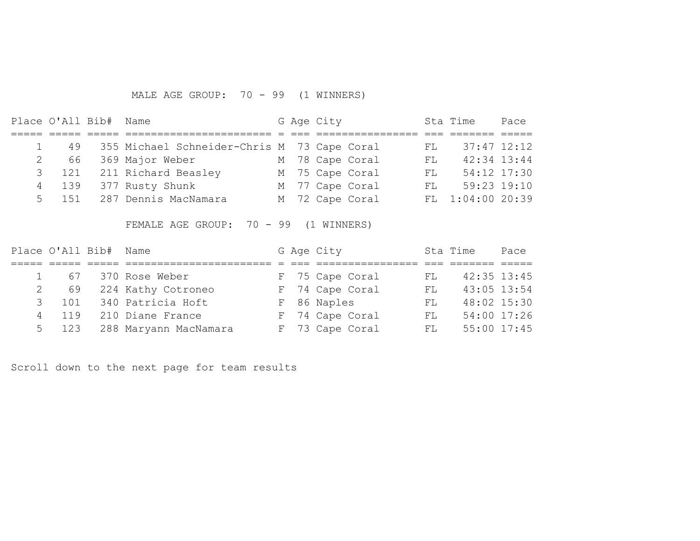# MALE AGE GROUP: 70 - 99 (1 WINNERS)

| Place O'All Bib# Name |       |                                                |  | G Age City |                 |      | Sta Time         | Pace |
|-----------------------|-------|------------------------------------------------|--|------------|-----------------|------|------------------|------|
|                       |       |                                                |  |            |                 |      |                  |      |
|                       |       | 49 355 Michael Schneider-Chris M 73 Cape Coral |  |            |                 | FT.  | $37:47$ $12:12$  |      |
|                       |       | 2 66 369 Major Weber                           |  |            | M 78 Cape Coral | FL   | $42:34$ $13:44$  |      |
|                       |       | 3 121 211 Richard Beasley                      |  |            | M 75 Cape Coral | FL 5 | 54:12 17:30      |      |
|                       |       | 4 139 377 Rusty Shunk                          |  |            | M 77 Cape Coral | FT.  | $59:23$ $19:10$  |      |
|                       | 5 151 | 287 Dennis MacNamara                           |  |            | M 72 Cape Coral |      | FL 1:04:00 20:39 |      |

FEMALE AGE GROUP: 70 - 99 (1 WINNERS)

|   | Place O'All Bib# Name |                             |  | G Age City      |     | Sta Time        | Pace        |
|---|-----------------------|-----------------------------|--|-----------------|-----|-----------------|-------------|
|   |                       |                             |  |                 |     |                 |             |
|   | 67                    | 370 Rose Weber              |  | F 75 Cape Coral | FL. | $42:35$ $13:45$ |             |
|   | 2 69                  | 224 Kathy Cotroneo          |  | F 74 Cape Coral | FL. | $43:05$ 13:54   |             |
|   | 3 101                 | 340 Patricia Hoft           |  | F 86 Naples     | FL  | 48:02 15:30     |             |
| 4 | 119                   | 210 Diane France            |  | F 74 Cape Coral | FL. |                 | 54:00 17:26 |
|   |                       | 5 123 288 Maryann MacNamara |  | F 73 Cape Coral | FL  | 55:00 17:45     |             |

Scroll down to the next page for team results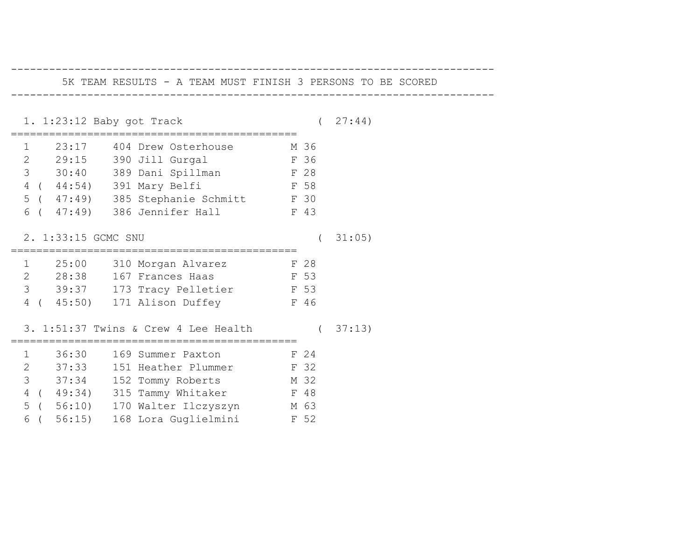| 5K TEAM RESULTS - A TEAM MUST FINISH 3 PERSONS TO BE SCORED |         |
|-------------------------------------------------------------|---------|
| 1. 1:23:12 Baby got Track                                   | (27:44) |
| 1 23:17 404 Drew Osterhouse M 36                            |         |
| 2 29:15 390 Jill Gurgal                                     | F 36    |
| 3 30:40 389 Dani Spillman F 28                              |         |
| 4 ( 44:54) 391 Mary Belfi                                   | F 58    |
| 5 ( 47:49) 385 Stephanie Schmitt F 30                       |         |
| 6 ( 47:49) 386 Jennifer Hall F 43                           |         |
| 2. 1:33:15 GCMC SNU                                         | 31:05)  |
| 1 25:00 310 Morgan Alvarez F 28                             |         |
| 2 28:38 167 Frances Haas F 53                               |         |
| 3 39:37 173 Tracy Pelletier F 53                            |         |
| 4 ( 45:50) 171 Alison Duffey F 46                           |         |
| 3. 1:51:37 Twins & Crew 4 Lee Health (37:13)                |         |
| 1 36:30 169 Summer Paxton F 24                              |         |
| 2 37:33 151 Heather Plummer F 32                            |         |
| 3 37:34 152 Tommy Roberts M 32                              |         |
| 4 ( 49:34) 315 Tammy Whitaker F 48                          |         |
| 5 ( 56:10) 170 Walter Ilczyszyn M 63                        |         |
| 6 ( 56:15) 168 Lora Guglielmini F 52                        |         |

----------------------------------------------------------------------------